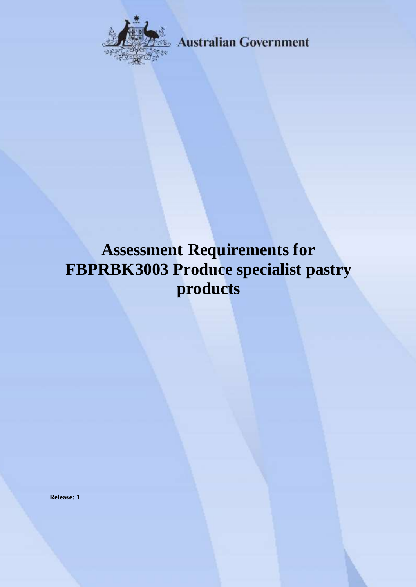

**Australian Government** 

# **Assessment Requirements for FBPRBK3003 Produce specialist pastry products**

**Release: 1**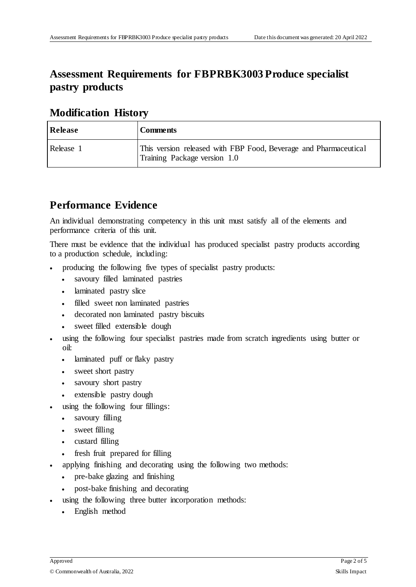# **Assessment Requirements for FBPRBK3003 Produce specialist pastry products**

#### **Modification History**

| Release   | <b>Comments</b>                                                                                  |
|-----------|--------------------------------------------------------------------------------------------------|
| Release 1 | This version released with FBP Food, Beverage and Pharmaceutical<br>Training Package version 1.0 |

# **Performance Evidence**

An individual demonstrating competency in this unit must satisfy all of the elements and performance criteria of this unit.

There must be evidence that the individual has produced specialist pastry products according to a production schedule, including:

- producing the following five types of specialist pastry products:
	- savoury filled laminated pastries
	- laminated pastry slice
	- filled sweet non laminated pastries
	- decorated non laminated pastry biscuits
	- sweet filled extensible dough
- using the following four specialist pastries made from scratch ingredients using butter or oil:
	- laminated puff or flaky pastry
	- sweet short pastry
	- savoury short pastry
	- extensible pastry dough
- using the following four fillings:
	- savoury filling
	- sweet filling
	- custard filling
	- fresh fruit prepared for filling
- applying finishing and decorating using the following two methods:
	- pre-bake glazing and finishing
	- post-bake finishing and decorating
- using the following three butter incorporation methods:
	- English method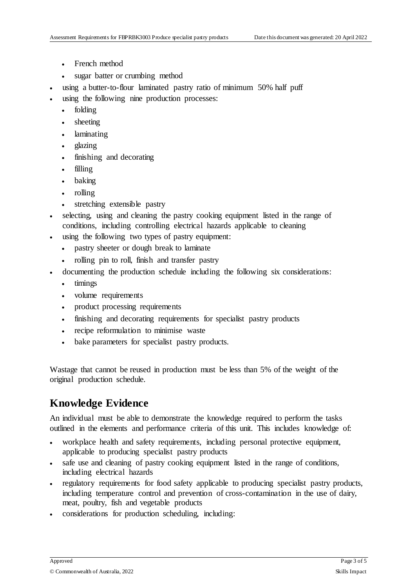- French method
- sugar batter or crumbing method
- using a butter-to-flour laminated pastry ratio of minimum 50% half puff
- using the following nine production processes:
	- folding
	- sheeting
	- laminating
	- glazing
	- finishing and decorating
	- filling
	- baking
	- rolling
	- stretching extensible pastry
- selecting, using and cleaning the pastry cooking equipment listed in the range of conditions, including controlling electrical hazards applicable to cleaning
- using the following two types of pastry equipment:
	- pastry sheeter or dough break to laminate
	- rolling pin to roll, finish and transfer pastry
- documenting the production schedule including the following six considerations:
	- timings
	- volume requirements
	- product processing requirements
	- finishing and decorating requirements for specialist pastry products
	- recipe reformulation to minimise waste
	- bake parameters for specialist pastry products.

Wastage that cannot be reused in production must be less than 5% of the weight of the original production schedule.

### **Knowledge Evidence**

An individual must be able to demonstrate the knowledge required to perform the tasks outlined in the elements and performance criteria of this unit. This includes knowledge of:

- workplace health and safety requirements, including personal protective equipment, applicable to producing specialist pastry products
- safe use and cleaning of pastry cooking equipment listed in the range of conditions, including electrical hazards
- regulatory requirements for food safety applicable to producing specialist pastry products, including temperature control and prevention of cross-contamination in the use of dairy, meat, poultry, fish and vegetable products
- considerations for production scheduling, including: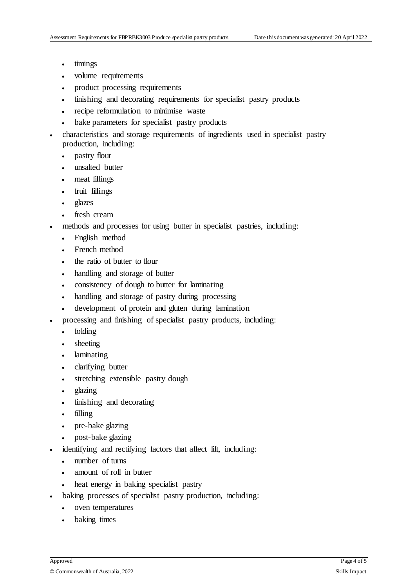- timings
- volume requirements
- product processing requirements
- finishing and decorating requirements for specialist pastry products
- recipe reformulation to minimise waste
- bake parameters for specialist pastry products
- characteristics and storage requirements of ingredients used in specialist pastry production, including:
	- pastry flour
	- unsalted butter
	- meat fillings
	- fruit fillings
	- glazes
	- fresh cream
- methods and processes for using butter in specialist pastries, including:
	- English method
	- French method
	- the ratio of butter to flour
	- handling and storage of butter
	- consistency of dough to butter for laminating
	- handling and storage of pastry during processing
	- development of protein and gluten during lamination
- processing and finishing of specialist pastry products, including:
	- folding
	- sheeting
	- laminating
	- clarifying butter
	- stretching extensible pastry dough
	- glazing
	- finishing and decorating
	- filling
	- pre-bake glazing
	- post-bake glazing
- identifying and rectifying factors that affect lift, including:
	- number of turns
	- amount of roll in butter
	- heat energy in baking specialist pastry
- baking processes of specialist pastry production, including:
	- oven temperatures
	- baking times